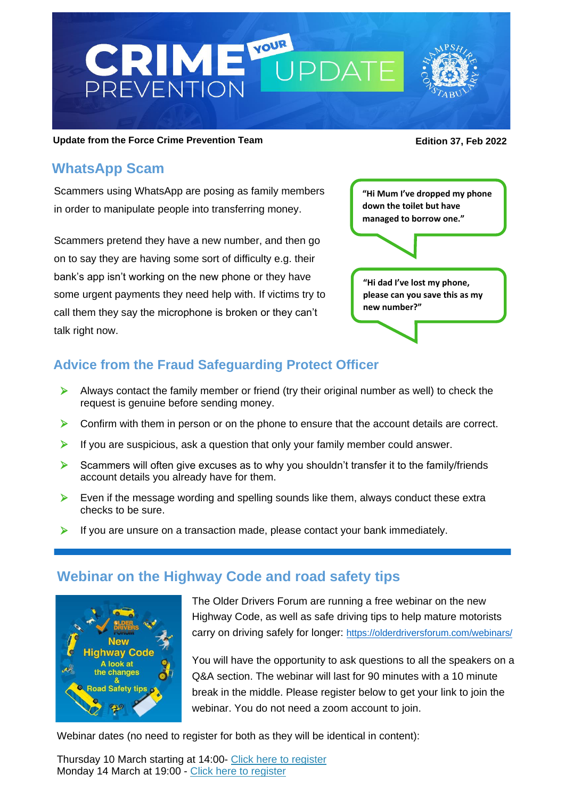

#### **Update from the Force Crime Prevention Team Edition 37, Feb 2022**

## **WhatsApp Scam**

Scammers using WhatsApp are posing as family members in order to manipulate people into transferring money.

Scammers pretend they have a new number, and then go on to say they are having some sort of difficulty e.g. their bank's app isn't working on the new phone or they have some urgent payments they need help with. If victims try to call them they say the microphone is broken or they can't talk right now.

**"Hi Mum I've dropped my phone down the toilet but have managed to borrow one."**

**"Hi dad I've lost my phone, please can you save this as my new number?"**

## **Advice from the Fraud Safeguarding Protect Officer**

- Always contact the family member or friend (try their original number as well) to check the request is genuine before sending money.
- $\triangleright$  Confirm with them in person or on the phone to ensure that the account details are correct.
- If you are suspicious, ask a question that only your family member could answer.
- Scammers will often give excuses as to why you shouldn't transfer it to the family/friends account details you already have for them.
- $\triangleright$  Even if the message wording and spelling sounds like them, always conduct these extra checks to be sure.
- $\triangleright$  If you are unsure on a transaction made, please contact your bank immediately.

# A look at the changes **Road Safety tins**

**Webinar on the Highway Code and road safety tips** 

The Older Drivers Forum are running a free webinar on the new Highway Code, as well as safe driving tips to help mature motorists carry on driving safely for longer: [https://olderdriversforum.com/webinars/](https://gbr01.safelinks.protection.outlook.com/?url=https%3A%2F%2Folderdriversforum.com%2Fwebinars%2F&data=04%7C01%7Cvictoria.snow%40hampshire.police.uk%7Cc076f33de9f741bc7b5508d9f4651189%7C23de4379957a41a69587165d6c6b4dbd%7C0%7C0%7C637809537192872032%7CUnknown%7CTWFpbGZsb3d8eyJWIjoiMC4wLjAwMDAiLCJQIjoiV2luMzIiLCJBTiI6Ik1haWwiLCJXVCI6Mn0%3D%7C3000&sdata=6SHlPwZyQJ2cVneY1UYIgUEww1JLsuiu23xsiI9WGC8%3D&reserved=0)

You will have the opportunity to ask questions to all the speakers on a Q&A section. The webinar will last for 90 minutes with a 10 minute break in the middle. Please register below to get your link to join the webinar. You do not need a zoom account to join.

Webinar dates (no need to register for both as they will be identical in content):

Thursday 10 March starting at 14:00- [Click here to register](https://gbr01.safelinks.protection.outlook.com/?url=https%3A%2F%2Fus02web.zoom.us%2Fwebinar%2Fregister%2FWN_UYgE_cjmTni6ocEzNoixHg&data=04%7C01%7Cvictoria.snow%40hampshire.police.uk%7Cc076f33de9f741bc7b5508d9f4651189%7C23de4379957a41a69587165d6c6b4dbd%7C0%7C0%7C637809537192872032%7CUnknown%7CTWFpbGZsb3d8eyJWIjoiMC4wLjAwMDAiLCJQIjoiV2luMzIiLCJBTiI6Ik1haWwiLCJXVCI6Mn0%3D%7C3000&sdata=AnhA4bPebqrGYRKc8Et84DpGfPC9PCzbVdclZhmgL%2BA%3D&reserved=0)  Monday 14 March at 19:00 - [Click here to register](https://gbr01.safelinks.protection.outlook.com/?url=https%3A%2F%2Fus02web.zoom.us%2Fwebinar%2Fregister%2FWN_HPOTRoFaTM2Z0vsH-tz1zA&data=04%7C01%7Cvictoria.snow%40hampshire.police.uk%7Cc076f33de9f741bc7b5508d9f4651189%7C23de4379957a41a69587165d6c6b4dbd%7C0%7C0%7C637809537192872032%7CUnknown%7CTWFpbGZsb3d8eyJWIjoiMC4wLjAwMDAiLCJQIjoiV2luMzIiLCJBTiI6Ik1haWwiLCJXVCI6Mn0%3D%7C3000&sdata=qc66BT8CECpemWIcCoEx88skxbwspolqx9Ie4t3DYYA%3D&reserved=0)